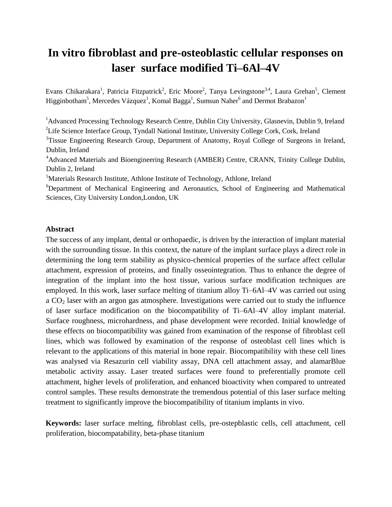# **In vitro fibroblast and pre-osteoblastic cellular responses on laser surface modified Ti–6Al–4V**

Evans Chikarakara<sup>1</sup>, Patricia Fitzpatrick<sup>2</sup>, Eric Moore<sup>2</sup>, Tanya Levingstone<sup>3,4</sup>, Laura Grehan<sup>5</sup>, Clement Higginbotham<sup>5</sup>, Mercedes Vázquez<sup>1</sup>, Komal Bagga<sup>1</sup>, Sumsun Naher<sup>6</sup> and Dermot Brabazon<sup>1</sup>

<sup>1</sup>Advanced Processing Technology Research Centre, Dublin City University, Glasnevin, Dublin 9, Ireland <sup>2</sup>Life Science Interface Group, Tyndall National Institute, University College Cork, Cork, Ireland

<sup>3</sup>Tissue Engineering Research Group, Department of Anatomy, Royal College of Surgeons in Ireland, Dublin, Ireland

<sup>4</sup>Advanced Materials and Bioengineering Research (AMBER) Centre, CRANN, Trinity College Dublin, Dublin 2, Ireland

<sup>5</sup>Materials Research Institute, Athlone Institute of Technology, Athlone, Ireland

<sup>6</sup>Department of Mechanical Engineering and Aeronautics, School of Engineering and Mathematical Sciences, City University London,London, UK

## **Abstract**

The success of any implant, dental or orthopaedic, is driven by the interaction of implant material with the surrounding tissue. In this context, the nature of the implant surface plays a direct role in determining the long term stability as physico-chemical properties of the surface affect cellular attachment, expression of proteins, and finally osseointegration. Thus to enhance the degree of integration of the implant into the host tissue, various surface modification techniques are employed. In this work, laser surface melting of titanium alloy Ti–6Al–4V was carried out using a CO<sub>2</sub> laser with an argon gas atmosphere. Investigations were carried out to study the influence of laser surface modification on the biocompatibility of Ti–6Al–4V alloy implant material. Surface roughness, microhardness, and phase development were recorded. Initial knowledge of these effects on biocompatibility was gained from examination of the response of fibroblast cell lines, which was followed by examination of the response of osteoblast cell lines which is relevant to the applications of this material in bone repair. Biocompatibility with these cell lines was analysed via Resazurin cell viability assay, DNA cell attachment assay, and alamarBlue metabolic activity assay. Laser treated surfaces were found to preferentially promote cell attachment, higher levels of proliferation, and enhanced bioactivity when compared to untreated control samples. These results demonstrate the tremendous potential of this laser surface melting treatment to significantly improve the biocompatibility of titanium implants in vivo.

**Keywords:** laser surface melting, fibroblast cells, pre-ostepblastic cells, cell attachment, cell proliferation, biocompatability, beta-phase titanium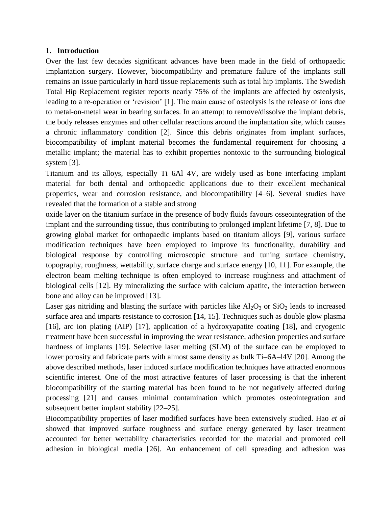## **1. Introduction**

Over the last few decades significant advances have been made in the field of orthopaedic implantation surgery. However, biocompatibility and premature failure of the implants still remains an issue particularly in hard tissue replacements such as total hip implants. The Swedish Total Hip Replacement register reports nearly 75% of the implants are affected by osteolysis, leading to a re-operation or 'revision' [1]. The main cause of osteolysis is the release of ions due to metal-on-metal wear in bearing surfaces. In an attempt to remove/dissolve the implant debris, the body releases enzymes and other cellular reactions around the implantation site, which causes a chronic inflammatory condition [2]. Since this debris originates from implant surfaces, biocompatibility of implant material becomes the fundamental requirement for choosing a metallic implant; the material has to exhibit properties nontoxic to the surrounding biological system [3].

Titanium and its alloys, especially Ti–6Al–4V, are widely used as bone interfacing implant material for both dental and orthopaedic applications due to their excellent mechanical properties, wear and corrosion resistance, and biocompatibility [4–6]. Several studies have revealed that the formation of a stable and strong

oxide layer on the titanium surface in the presence of body fluids favours osseointegration of the implant and the surrounding tissue, thus contributing to prolonged implant lifetime [7, 8]. Due to growing global market for orthopaedic implants based on titanium alloys [9], various surface modification techniques have been employed to improve its functionality, durability and biological response by controlling microscopic structure and tuning surface chemistry, topography, roughness, wettability, surface charge and surface energy [10, 11]. For example, the electron beam melting technique is often employed to increase roughness and attachment of biological cells [12]. By mineralizing the surface with calcium apatite, the interaction between bone and alloy can be improved [13].

Laser gas nitriding and blasting the surface with particles like  $Al_2O_3$  or  $SiO_2$  leads to increased surface area and imparts resistance to corrosion [14, 15]. Techniques such as double glow plasma [16], arc ion plating (AIP) [17], application of a hydroxyapatite coating [18], and cryogenic treatment have been successful in improving the wear resistance, adhesion properties and surface hardness of implants [19]. Selective laser melting (SLM) of the surface can be employed to lower porosity and fabricate parts with almost same density as bulk Ti–6A–l4V [20]. Among the above described methods, laser induced surface modification techniques have attracted enormous scientific interest. One of the most attractive features of laser processing is that the inherent biocompatibility of the starting material has been found to be not negatively affected during processing [21] and causes minimal contamination which promotes osteointegration and subsequent better implant stability [22–25].

Biocompatibility properties of laser modified surfaces have been extensively studied. Hao *et al* showed that improved surface roughness and surface energy generated by laser treatment accounted for better wettability characteristics recorded for the material and promoted cell adhesion in biological media [26]. An enhancement of cell spreading and adhesion was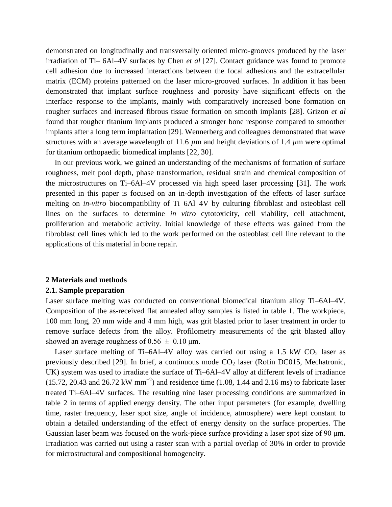demonstrated on longitudinally and transversally oriented micro-grooves produced by the laser irradiation of Ti– 6Al–4V surfaces by Chen *et al* [27]. Contact guidance was found to promote cell adhesion due to increased interactions between the focal adhesions and the extracellular matrix (ECM) proteins patterned on the laser micro-grooved surfaces. In addition it has been demonstrated that implant surface roughness and porosity have significant effects on the interface response to the implants, mainly with comparatively increased bone formation on rougher surfaces and increased fibrous tissue formation on smooth implants [28]. Grizon *et al* found that rougher titanium implants produced a stronger bone response compared to smoother implants after a long term implantation [29]. Wennerberg and colleagues demonstrated that wave structures with an average wavelength of 11.6 *µ*m and height deviations of 1.4 *µ*m were optimal for titanium orthopaedic biomedical implants [22, 30].

In our previous work, we gained an understanding of the mechanisms of formation of surface roughness, melt pool depth, phase transformation, residual strain and chemical composition of the microstructures on Ti–6Al–4V processed via high speed laser processing [31]. The work presented in this paper is focused on an in-depth investigation of the effects of laser surface melting on *in-vitro* biocompatibility of Ti–6Al–4V by culturing fibroblast and osteoblast cell lines on the surfaces to determine *in vitro* cytotoxicity, cell viability, cell attachment, proliferation and metabolic activity. Initial knowledge of these effects was gained from the fibroblast cell lines which led to the work performed on the osteoblast cell line relevant to the applications of this material in bone repair.

#### **2 Materials and methods**

#### **2.1. Sample preparation**

Laser surface melting was conducted on conventional biomedical titanium alloy Ti–6Al–4V. Composition of the as-received flat annealed alloy samples is listed in table 1. The workpiece, 100 mm long, 20 mm wide and 4 mm high, was grit blasted prior to laser treatment in order to remove surface defects from the alloy. Profilometry measurements of the grit blasted alloy showed an average roughness of  $0.56 \pm 0.10$  µm.

Laser surface melting of Ti–6Al–4V alloy was carried out using a 1.5 kW  $CO<sub>2</sub>$  laser as previously described [29]. In brief, a continuous mode  $CO<sub>2</sub>$  laser (Rofin DC015, Mechatronic, UK) system was used to irradiate the surface of Ti–6Al–4V alloy at different levels of irradiance  $(15.72, 20.43 \text{ and } 26.72 \text{ kW mm}^{-2})$  and residence time (1.08, 1.44 and 2.16 ms) to fabricate laser treated Ti–6Al–4V surfaces. The resulting nine laser processing conditions are summarized in table 2 in terms of applied energy density. The other input parameters (for example, dwelling time, raster frequency, laser spot size, angle of incidence, atmosphere) were kept constant to obtain a detailed understanding of the effect of energy density on the surface properties. The Gaussian laser beam was focused on the work-piece surface providing a laser spot size of 90 μm. Irradiation was carried out using a raster scan with a partial overlap of 30% in order to provide for microstructural and compositional homogeneity.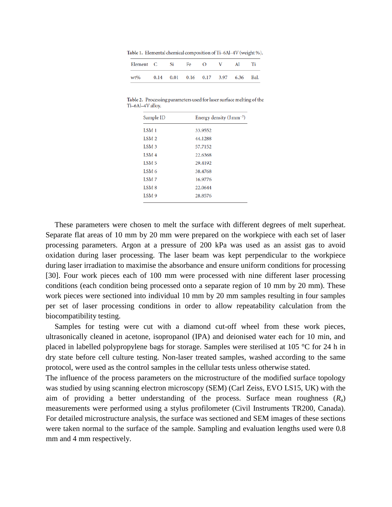Table 1. Elemental chemical composition of Ti-6Al-4V (weight %).

| Element C Si |      | Fe                       | $\lq$ | Al |      |
|--------------|------|--------------------------|-------|----|------|
| wt%          | 0.14 | 0.01 0.16 0.17 3.97 6.36 |       |    | Bal. |

Table 2. Processing parameters used for laser surface melting of the Ti-6Al-4V alloy.

| Sample ID        | Energy density $(J \, \text{mm}^{-2})$ |
|------------------|----------------------------------------|
| LSM <sub>1</sub> | 33.9552                                |
| LSM <sub>2</sub> | 44.1288                                |
| LSM <sub>3</sub> | 57.7152                                |
| LSM <sub>4</sub> | 22.6368                                |
| <b>LSM 5</b>     | 29.4192                                |
| LSM <sub>6</sub> | 38.4768                                |
| <b>LSM7</b>      | 16.9776                                |
| LSM <sub>8</sub> | 22.0644                                |
| LSM <sub>9</sub> | 28.8576                                |
|                  |                                        |

These parameters were chosen to melt the surface with different degrees of melt superheat. Separate flat areas of 10 mm by 20 mm were prepared on the workpiece with each set of laser processing parameters. Argon at a pressure of 200 kPa was used as an assist gas to avoid oxidation during laser processing. The laser beam was kept perpendicular to the workpiece during laser irradiation to maximise the absorbance and ensure uniform conditions for processing [30]. Four work pieces each of 100 mm were processed with nine different laser processing conditions (each condition being processed onto a separate region of 10 mm by 20 mm). These work pieces were sectioned into individual 10 mm by 20 mm samples resulting in four samples per set of laser processing conditions in order to allow repeatability calculation from the biocompatibility testing.

Samples for testing were cut with a diamond cut-off wheel from these work pieces, ultrasonically cleaned in acetone, isopropanol (IPA) and deionised water each for 10 min, and placed in labelled polypropylene bags for storage. Samples were sterilised at 105 °C for 24 h in dry state before cell culture testing. Non-laser treated samples, washed according to the same protocol, were used as the control samples in the cellular tests unless otherwise stated.

The influence of the process parameters on the microstructure of the modified surface topology was studied by using scanning electron microscopy (SEM) (Carl Zeiss, EVO LS15, UK) with the aim of providing a better understanding of the process. Surface mean roughness (*R*a) measurements were performed using a stylus profilometer (Civil Instruments TR200, Canada). For detailed microstructure analysis, the surface was sectioned and SEM images of these sections were taken normal to the surface of the sample. Sampling and evaluation lengths used were 0.8 mm and 4 mm respectively.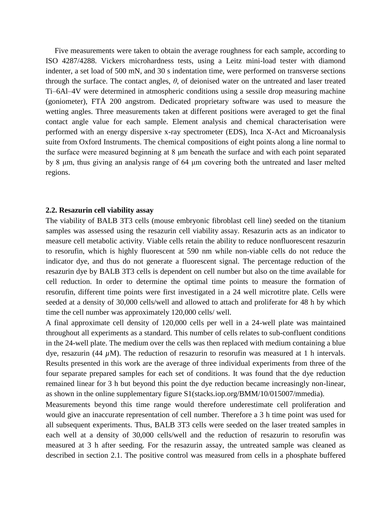Five measurements were taken to obtain the average roughness for each sample, according to ISO 4287/4288. Vickers microhardness tests, using a Leitz mini-load tester with diamond indenter, a set load of 500 mN, and 30 s indentation time, were performed on transverse sections through the surface. The contact angles, *θ*, of deionised water on the untreated and laser treated Ti–6Al–4V were determined in atmospheric conditions using a sessile drop measuring machine (goniometer), FTÅ 200 angstrom. Dedicated proprietary software was used to measure the wetting angles. Three measurements taken at different positions were averaged to get the final contact angle value for each sample. Element analysis and chemical characterisation were performed with an energy dispersive x-ray spectrometer (EDS), Inca X-Act and Microanalysis suite from Oxford Instruments. The chemical compositions of eight points along a line normal to the surface were measured beginning at 8 μm beneath the surface and with each point separated by 8 μm, thus giving an analysis range of 64 μm covering both the untreated and laser melted regions.

#### **2.2. Resazurin cell viability assay**

The viability of BALB 3T3 cells (mouse embryonic fibroblast cell line) seeded on the titanium samples was assessed using the resazurin cell viability assay. Resazurin acts as an indicator to measure cell metabolic activity. Viable cells retain the ability to reduce nonfluorescent resazurin to resorufin, which is highly fluorescent at 590 nm while non-viable cells do not reduce the indicator dye, and thus do not generate a fluorescent signal. The percentage reduction of the resazurin dye by BALB 3T3 cells is dependent on cell number but also on the time available for cell reduction. In order to determine the optimal time points to measure the formation of resorufin, different time points were first investigated in a 24 well microtitre plate. Cells were seeded at a density of 30,000 cells/well and allowed to attach and proliferate for 48 h by which time the cell number was approximately 120,000 cells/ well.

A final approximate cell density of 120,000 cells per well in a 24-well plate was maintained throughout all experiments as a standard. This number of cells relates to sub-confluent conditions in the 24-well plate. The medium over the cells was then replaced with medium containing a blue dye, resazurin (44  $\mu$ M). The reduction of resazurin to resorufin was measured at 1 h intervals. Results presented in this work are the average of three individual experiments from three of the four separate prepared samples for each set of conditions. It was found that the dye reduction remained linear for 3 h but beyond this point the dye reduction became increasingly non-linear, as shown in the online supplementary figure S1[\(stacks.iop.org/BMM/10/015007/mmedia\).](http://dx.doi.org/stacks.iop.org/BMM/10/015007/mmedia)

Measurements beyond this time range would therefore underestimate cell proliferation and would give an inaccurate representation of cell number. Therefore a 3 h time point was used for all subsequent experiments. Thus, BALB 3T3 cells were seeded on the laser treated samples in each well at a density of 30,000 cells/well and the reduction of resazurin to resorufin was measured at 3 h after seeding. For the resazurin assay, the untreated sample was cleaned as described in section 2.1. The positive control was measured from cells in a phosphate buffered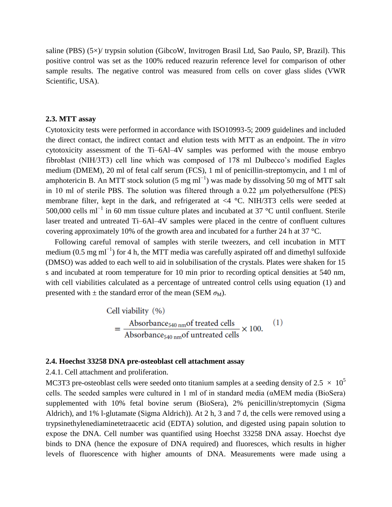saline (PBS) (5×)/ trypsin solution (GibcoW, Invitrogen Brasil Ltd, Sao Paulo, SP, Brazil). This positive control was set as the 100% reduced reazurin reference level for comparison of other sample results. The negative control was measured from cells on cover glass slides (VWR Scientific, USA).

#### **2.3. MTT assay**

Cytotoxicity tests were performed in accordance with ISO10993-5; 2009 guidelines and included the direct contact, the indirect contact and elution tests with MTT as an endpoint. The *in vitro* cytotoxicity assessment of the Ti–6Al–4V samples was performed with the mouse embryo fibroblast (NIH/3T3) cell line which was composed of 178 ml Dulbecco's modified Eagles medium (DMEM), 20 ml of fetal calf serum (FCS), 1 ml of penicillin-streptomycin, and 1 ml of amphotericin B. An MTT stock solution (5 mg ml<sup>-1</sup>) was made by dissolving 50 mg of MTT salt in 10 ml of sterile PBS. The solution was filtered through a 0.22 μm polyethersulfone (PES) membrane filter, kept in the dark, and refrigerated at <4 °C. NIH/3T3 cells were seeded at 500,000 cells ml−1 in 60 mm tissue culture plates and incubated at 37 °C until confluent. Sterile laser treated and untreated Ti–6Al–4V samples were placed in the centre of confluent cultures covering approximately 10% of the growth area and incubated for a further 24 h at 37 °C.

Following careful removal of samples with sterile tweezers, and cell incubation in MTT medium (0.5 mg m $^{-1}$ ) for 4 h, the MTT media was carefully aspirated off and dimethyl sulfoxide (DMSO) was added to each well to aid in solubilisation of the crystals. Plates were shaken for 15 s and incubated at room temperature for 10 min prior to recording optical densities at 540 nm, with cell viabilities calculated as a percentage of untreated control cells using equation (1) and presented with  $\pm$  the standard error of the mean (SEM  $\sigma_M$ ).

Cell viability (%)  
= 
$$
\frac{\text{Absorbance}_{540 \text{ nm}} \text{of treated cells}}{\text{Absorbance}_{540 \text{ nm}} \text{of untreated cells}} \times 100.
$$
 (1)

### **2.4. Hoechst 33258 DNA pre-osteoblast cell attachment assay**

2.4.1. Cell attachment and proliferation.

MC3T3 pre-osteoblast cells were seeded onto titanium samples at a seeding density of 2.5  $\times$  10<sup>5</sup> cells. The seeded samples were cultured in 1 ml of in standard media (αMEM media (BioSera) supplemented with 10% fetal bovine serum (BioSera), 2% penicillin/streptomycin (Sigma Aldrich), and 1% l-glutamate (Sigma Aldrich)). At 2 h, 3 and 7 d, the cells were removed using a trypsinethylenediaminetetraacetic acid (EDTA) solution, and digested using papain solution to expose the DNA. Cell number was quantified using Hoechst 33258 DNA assay. Hoechst dye binds to DNA (hence the exposure of DNA required) and fluoresces, which results in higher levels of fluorescence with higher amounts of DNA. Measurements were made using a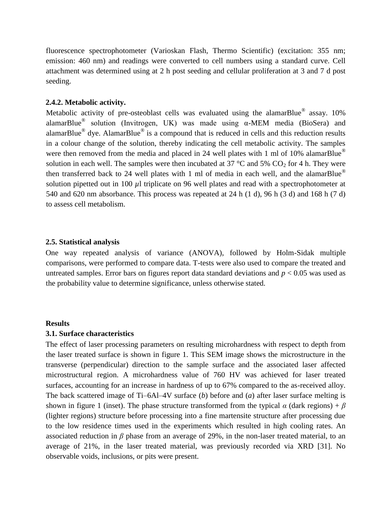fluorescence spectrophotometer (Varioskan Flash, Thermo Scientific) (excitation: 355 nm; emission: 460 nm) and readings were converted to cell numbers using a standard curve. Cell attachment was determined using at 2 h post seeding and cellular proliferation at 3 and 7 d post seeding.

## **2.4.2. Metabolic activity.**

Metabolic activity of pre-osteoblast cells was evaluated using the alamarBlue® assay. 10% alamarBlue<sup>®</sup> solution (Invitrogen, UK) was made using  $\alpha$ -MEM media (BioSera) and alamarBlue<sup>®</sup> dye. AlamarBlue<sup>®</sup> is a compound that is reduced in cells and this reduction results in a colour change of the solution, thereby indicating the cell metabolic activity. The samples were then removed from the media and placed in 24 well plates with 1 ml of 10% alamarBlue<sup>®</sup> solution in each well. The samples were then incubated at 37  $\degree$ C and 5% CO<sub>2</sub> for 4 h. They were then transferred back to 24 well plates with 1 ml of media in each well, and the alamarBlue<sup>®</sup> solution pipetted out in 100  $\mu$ l triplicate on 96 well plates and read with a spectrophotometer at 540 and 620 nm absorbance. This process was repeated at 24 h (1 d), 96 h (3 d) and 168 h (7 d) to assess cell metabolism.

#### **2.5. Statistical analysis**

One way repeated analysis of variance (ANOVA), followed by Holm-Sidak multiple comparisons, were performed to compare data. T-tests were also used to compare the treated and untreated samples. Error bars on figures report data standard deviations and *p* < 0.05 was used as the probability value to determine significance, unless otherwise stated.

#### **Results**

#### **3.1. Surface characteristics**

The effect of laser processing parameters on resulting microhardness with respect to depth from the laser treated surface is shown in figure 1. This SEM image shows the microstructure in the transverse (perpendicular) direction to the sample surface and the associated laser affected microstructural region. A microhardness value of 760 HV was achieved for laser treated surfaces, accounting for an increase in hardness of up to 67% compared to the as-received alloy. The back scattered image of Ti–6Al–4V surface (*b*) before and (*a*) after laser surface melting is shown in figure 1 (inset). The phase structure transformed from the typical  $\alpha$  (dark regions) +  $\beta$ (lighter regions) structure before processing into a fine martensite structure after processing due to the low residence times used in the experiments which resulted in high cooling rates. An associated reduction in *β* phase from an average of 29%, in the non-laser treated material, to an average of 21%, in the laser treated material, was previously recorded via XRD [31]. No observable voids, inclusions, or pits were present.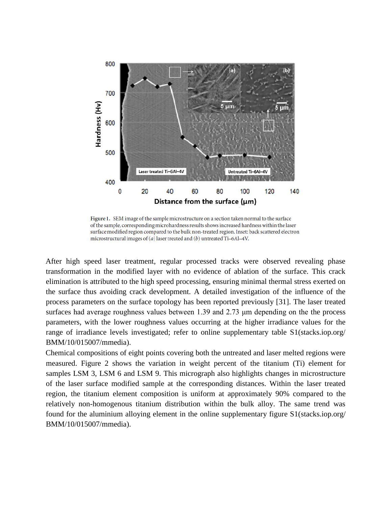

Figure 1. SEM image of the sample microstructure on a section taken normal to the surface of the sample, corresponding microhardness results shows increased hardness within the laser surface modified region compared to the bulk non-treated region. Inset: back scattered electron microstructural images of  $(a)$  laser treated and  $(b)$  untreated Ti-6Al-4V.

After high speed laser treatment, regular processed tracks were observed revealing phase transformation in the modified layer with no evidence of ablation of the surface. This crack elimination is attributed to the high speed processing, ensuring minimal thermal stress exerted on the surface thus avoiding crack development. A detailed investigation of the influence of the process parameters on the surface topology has been reported previously [31]. The laser treated surfaces had average roughness values between 1.39 and 2.73 μm depending on the the process parameters, with the lower roughness values occurring at the higher irradiance values for the range of irradiance levels investigated; refer to online supplementary table S1(stacks.iop.org/ BMM/10/015007/mmedia).

Chemical compositions of eight points covering both the untreated and laser melted regions were measured. Figure 2 shows the variation in weight percent of the titanium (Ti) element for samples LSM 3, LSM 6 and LSM 9. This micrograph also highlights changes in microstructure of the laser surface modified sample at the corresponding distances. Within the laser treated region, the titanium element composition is uniform at approximately 90% compared to the relatively non-homogenous titanium distribution within the bulk alloy. The same trend was found for the aluminium alloying element in the online supplementary figure S1[\(stacks.iop.org/](http://dx.doi.org/stacks.iop.org/BMM/10/015007/mmedia)  [BMM/10/015007/mmedia\)](http://dx.doi.org/stacks.iop.org/BMM/10/015007/mmedia).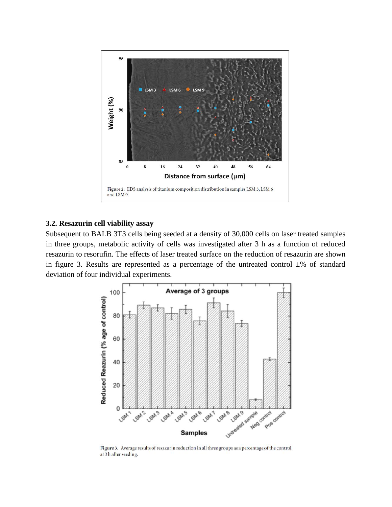

## **3.2. Resazurin cell viability assay**

Subsequent to BALB 3T3 cells being seeded at a density of 30,000 cells on laser treated samples in three groups, metabolic activity of cells was investigated after 3 h as a function of reduced resazurin to resorufin. The effects of laser treated surface on the reduction of resazurin are shown in figure 3. Results are represented as a percentage of the untreated control  $\pm\%$  of standard deviation of four individual experiments.



Figure 3. Average results of resazurin reduction in all three groups as a percentage of the control at 3 h after seeding.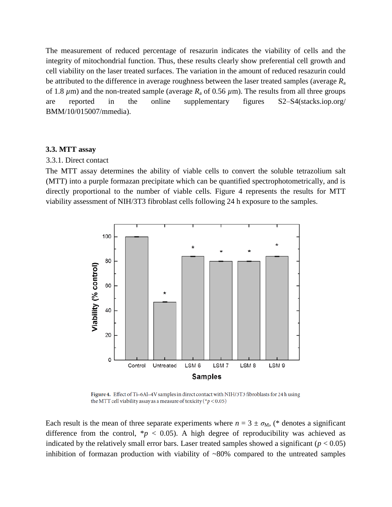The measurement of reduced percentage of resazurin indicates the viability of cells and the integrity of mitochondrial function. Thus, these results clearly show preferential cell growth and cell viability on the laser treated surfaces. The variation in the amount of reduced resazurin could be attributed to the difference in average roughness between the laser treated samples (average *R*<sup>a</sup> of 1.8  $\mu$ m) and the non-treated sample (average  $R_a$  of 0.56  $\mu$ m). The results from all three groups are reported in the online supplementary figures S2–S4[\(stacks.iop.org/](http://dx.doi.org/stacks.iop.org/BMM/10/015007/mmedia)  [BMM/10/015007/mmedia\)](http://dx.doi.org/stacks.iop.org/BMM/10/015007/mmedia).

## **3.3. MTT assay**

#### 3.3.1. Direct contact

The MTT assay determines the ability of viable cells to convert the soluble tetrazolium salt (MTT) into a purple formazan precipitate which can be quantified spectrophotometrically, and is directly proportional to the number of viable cells. Figure 4 represents the results for MTT viability assessment of NIH/3T3 fibroblast cells following 24 h exposure to the samples.



Figure 4. Effect of Ti-6Al-4V samples in direct contact with NIH/3T3 fibroblasts for 24h using the MTT cell viability assay as a measure of toxicity (\* $p$  < 0.05)

Each result is the mean of three separate experiments where  $n = 3 \pm \sigma_M$ , (\* denotes a significant difference from the control,  $p < 0.05$ . A high degree of reproducibility was achieved as indicated by the relatively small error bars. Laser treated samples showed a significant  $(p < 0.05)$ inhibition of formazan production with viability of ~80% compared to the untreated samples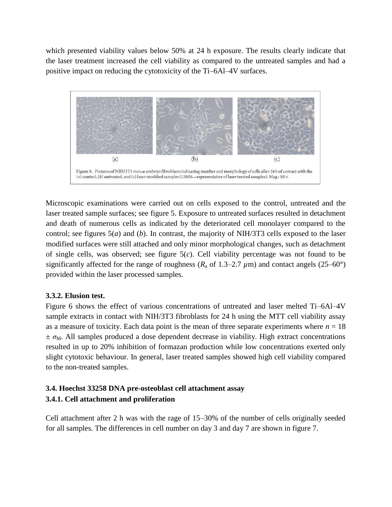which presented viability values below 50% at 24 h exposure. The results clearly indicate that the laser treatment increased the cell viability as compared to the untreated samples and had a positive impact on reducing the cytotoxicity of the Ti–6Al–4V surfaces.



Microscopic examinations were carried out on cells exposed to the control, untreated and the laser treated sample surfaces; see figure 5. Exposure to untreated surfaces resulted in detachment and death of numerous cells as indicated by the deteriorated cell monolayer compared to the control; see figures 5(*a*) and (*b*). In contrast, the majority of NIH/3T3 cells exposed to the laser modified surfaces were still attached and only minor morphological changes, such as detachment of single cells, was observed; see figure 5(*c*). Cell viability percentage was not found to be significantly affected for the range of roughness ( $R_a$  of 1.3–2.7  $\mu$ m) and contact angels (25–60°) provided within the laser processed samples.

## **3.3.2. Elusion test.**

Figure 6 shows the effect of various concentrations of untreated and laser melted Ti–6Al–4V sample extracts in contact with NIH/3T3 fibroblasts for 24 h using the MTT cell viability assay as a measure of toxicity. Each data point is the mean of three separate experiments where  $n = 18$  $\pm \sigma_M$ . All samples produced a dose dependent decrease in viability. High extract concentrations resulted in up to 20% inhibition of formazan production while low concentrations exerted only slight cytotoxic behaviour. In general, laser treated samples showed high cell viability compared to the non-treated samples.

## **3.4. Hoechst 33258 DNA pre-osteoblast cell attachment assay 3.4.1. Cell attachment and proliferation**

Cell attachment after 2 h was with the rage of 15–30% of the number of cells originally seeded for all samples. The differences in cell number on day 3 and day 7 are shown in figure 7.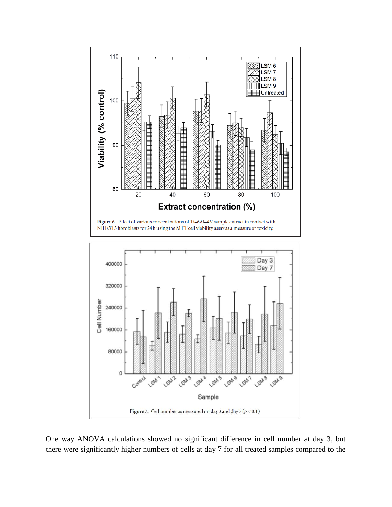

One way ANOVA calculations showed no significant difference in cell number at day 3, but there were significantly higher numbers of cells at day 7 for all treated samples compared to the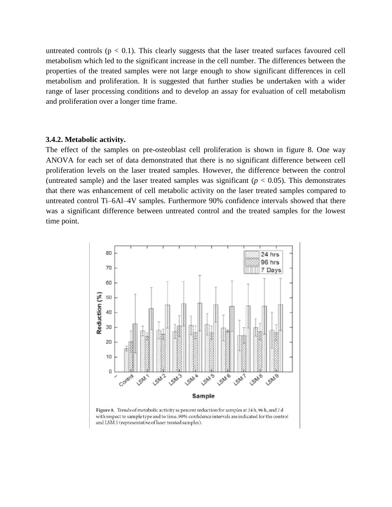untreated controls  $(p < 0.1)$ . This clearly suggests that the laser treated surfaces favoured cell metabolism which led to the significant increase in the cell number. The differences between the properties of the treated samples were not large enough to show significant differences in cell metabolism and proliferation. It is suggested that further studies be undertaken with a wider range of laser processing conditions and to develop an assay for evaluation of cell metabolism and proliferation over a longer time frame.

#### **3.4.2. Metabolic activity.**

The effect of the samples on pre-osteoblast cell proliferation is shown in figure 8. One way ANOVA for each set of data demonstrated that there is no significant difference between cell proliferation levels on the laser treated samples. However, the difference between the control (untreated sample) and the laser treated samples was significant  $(p < 0.05)$ . This demonstrates that there was enhancement of cell metabolic activity on the laser treated samples compared to untreated control Ti–6Al–4V samples. Furthermore 90% confidence intervals showed that there was a significant difference between untreated control and the treated samples for the lowest time point.



Figure 8. Trends of metabolic activity as percent reduction for samples at 24h, 96h, and 7d with respect to sample type and to time. 90% confidence intervals are indicated for the control and LSM 3 (representative of laser treated samples).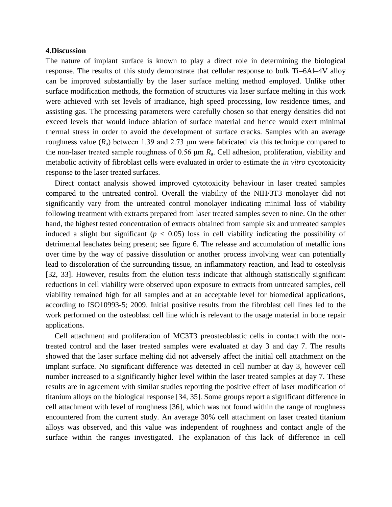## **4.Discussion**

The nature of implant surface is known to play a direct role in determining the biological response. The results of this study demonstrate that cellular response to bulk Ti–6Al–4V alloy can be improved substantially by the laser surface melting method employed. Unlike other surface modification methods, the formation of structures via laser surface melting in this work were achieved with set levels of irradiance, high speed processing, low residence times, and assisting gas. The processing parameters were carefully chosen so that energy densities did not exceed levels that would induce ablation of surface material and hence would exert minimal thermal stress in order to avoid the development of surface cracks. Samples with an average roughness value ( $R_a$ ) between 1.39 and 2.73 μm were fabricated via this technique compared to the non-laser treated sample roughness of 0.56 μm *R*a. Cell adhesion, proliferation, viability and metabolic activity of fibroblast cells were evaluated in order to estimate the *in vitro* cycotoxicity response to the laser treated surfaces.

Direct contact analysis showed improved cytotoxicity behaviour in laser treated samples compared to the untreated control. Overall the viability of the NIH/3T3 monolayer did not significantly vary from the untreated control monolayer indicating minimal loss of viability following treatment with extracts prepared from laser treated samples seven to nine. On the other hand, the highest tested concentration of extracts obtained from sample six and untreated samples induced a slight but significant ( $p < 0.05$ ) loss in cell viability indicating the possibility of detrimental leachates being present; see figure 6. The release and accumulation of metallic ions over time by the way of passive dissolution or another process involving wear can potentially lead to discoloration of the surrounding tissue, an inflammatory reaction, and lead to osteolysis [32, 33]. However, results from the elution tests indicate that although statistically significant reductions in cell viability were observed upon exposure to extracts from untreated samples, cell viability remained high for all samples and at an acceptable level for biomedical applications, according to ISO10993-5; 2009. Initial positive results from the fibroblast cell lines led to the work performed on the osteoblast cell line which is relevant to the usage material in bone repair applications.

Cell attachment and proliferation of MC3T3 preosteoblastic cells in contact with the nontreated control and the laser treated samples were evaluated at day 3 and day 7. The results showed that the laser surface melting did not adversely affect the initial cell attachment on the implant surface. No significant difference was detected in cell number at day 3, however cell number increased to a significantly higher level within the laser treated samples at day 7. These results are in agreement with similar studies reporting the positive effect of laser modification of titanium alloys on the biological response [34, 35]. Some groups report a significant difference in cell attachment with level of roughness [36], which was not found within the range of roughness encountered from the current study. An average 30% cell attachment on laser treated titanium alloys was observed, and this value was independent of roughness and contact angle of the surface within the ranges investigated. The explanation of this lack of difference in cell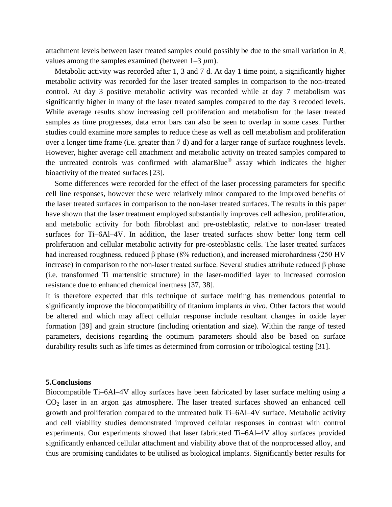attachment levels between laser treated samples could possibly be due to the small variation in *R*<sup>a</sup> values among the samples examined (between  $1-3 \mu m$ ).

Metabolic activity was recorded after 1, 3 and 7 d. At day 1 time point, a significantly higher metabolic activity was recorded for the laser treated samples in comparison to the non-treated control. At day 3 positive metabolic activity was recorded while at day 7 metabolism was significantly higher in many of the laser treated samples compared to the day 3 recoded levels. While average results show increasing cell proliferation and metabolism for the laser treated samples as time progresses, data error bars can also be seen to overlap in some cases. Further studies could examine more samples to reduce these as well as cell metabolism and proliferation over a longer time frame (i.e. greater than 7 d) and for a larger range of surface roughness levels. However, higher average cell attachment and metabolic activity on treated samples compared to the untreated controls was confirmed with alamarBlue® assay which indicates the higher bioactivity of the treated surfaces [23].

Some differences were recorded for the effect of the laser processing parameters for specific cell line responses, however these were relatively minor compared to the improved benefits of the laser treated surfaces in comparison to the non-laser treated surfaces. The results in this paper have shown that the laser treatment employed substantially improves cell adhesion, proliferation, and metabolic activity for both fibroblast and pre-osteblastic, relative to non-laser treated surfaces for Ti–6Al–4V. In addition, the laser treated surfaces show better long term cell proliferation and cellular metabolic activity for pre-osteoblastic cells. The laser treated surfaces had increased roughness, reduced β phase (8% reduction), and increased microhardness (250 HV increase) in comparison to the non-laser treated surface. Several studies attribute reduced β phase (i.e. transformed Ti martensitic structure) in the laser-modified layer to increased corrosion resistance due to enhanced chemical inertness [37, 38].

It is therefore expected that this technique of surface melting has tremendous potential to significantly improve the biocompatibility of titanium implants *in vivo*. Other factors that would be altered and which may affect cellular response include resultant changes in oxide layer formation [39] and grain structure (including orientation and size). Within the range of tested parameters, decisions regarding the optimum parameters should also be based on surface durability results such as life times as determined from corrosion or tribological testing [31].

#### **5.Conclusions**

Biocompatible Ti–6Al–4V alloy surfaces have been fabricated by laser surface melting using a  $CO<sub>2</sub>$  laser in an argon gas atmosphere. The laser treated surfaces showed an enhanced cell growth and proliferation compared to the untreated bulk Ti–6Al–4V surface. Metabolic activity and cell viability studies demonstrated improved cellular responses in contrast with control experiments. Our experiments showed that laser fabricated Ti–6Al–4V alloy surfaces provided significantly enhanced cellular attachment and viability above that of the nonprocessed alloy, and thus are promising candidates to be utilised as biological implants. Significantly better results for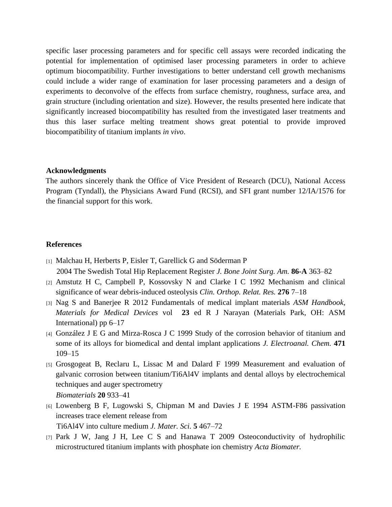specific laser processing parameters and for specific cell assays were recorded indicating the potential for implementation of optimised laser processing parameters in order to achieve optimum biocompatibility. Further investigations to better understand cell growth mechanisms could include a wider range of examination for laser processing parameters and a design of experiments to deconvolve of the effects from surface chemistry, roughness, surface area, and grain structure (including orientation and size). However, the results presented here indicate that significantly increased biocompatibility has resulted from the investigated laser treatments and thus this laser surface melting treatment shows great potential to provide improved biocompatibility of titanium implants *in vivo*.

#### **Acknowledgments**

The authors sincerely thank the Office of Vice President of Research (DCU), National Access Program (Tyndall), the Physicians Award Fund (RCSI), and SFI grant number 12/IA/1576 for the financial support for this work.

## **References**

- [1] Malchau H, Herberts P, Eisler T, Garellick G and Söderman P 2004 The Swedish Total Hip Replacement Register *J. Bone Joint Surg. Am.* **86-A** 363–82
- [2] Amstutz H C, Campbell P, Kossovsky N and Clarke I C 1992 Mechanism and clinical significance of wear debris-induced osteolysis *Clin. Orthop. Relat. Res.* **276** 7–18
- [3] Nag S and Banerjee R 2012 Fundamentals of medical implant materials *ASM Handbook, Materials for Medical Devices* vol **23** ed R J Narayan (Materials Park, OH: ASM International) pp 6–17
- [4] González J E G and Mirza-Rosca J C 1999 Study of the corrosion behavior of titanium and some of its alloys for biomedical and dental implant applications *J. Electroanal. Chem[.](http://dx.doi.org/10.1016/S0022-0728(99)00260-0)* **[471](http://dx.doi.org/10.1016/S0022-0728(99)00260-0)** [109–15](http://dx.doi.org/10.1016/S0022-0728(99)00260-0)
- [5] Grosgogeat B, Reclaru L, Lissac M and Dalard F 1999 Measurement and evaluation of galvanic corrosion between titanium/Ti6Al4V implants and dental alloys by electrochemical techniques and auger spectrometry *Biomaterial[s](http://dx.doi.org/10.1016/S0142-9612(98)00248-8)* **[20](http://dx.doi.org/10.1016/S0142-9612(98)00248-8)** [933–41](http://dx.doi.org/10.1016/S0142-9612(98)00248-8)
- [6] Lowenberg B F, Lugowski S, Chipman M and Davies J E 1994 ASTM-F86 passivation increases trace element release from Ti6Al4V into culture medium *J. Mater. Sci.* **5** 467–72
- [7] Park J W, Jang J H, Lee C S and Hanawa T 2009 Osteoconductivity of hydrophilic microstructured titanium implants with phosphate ion chemistry *Acta Biomater[.](http://dx.doi.org/10.1016/j.actbio.2009.02.026)*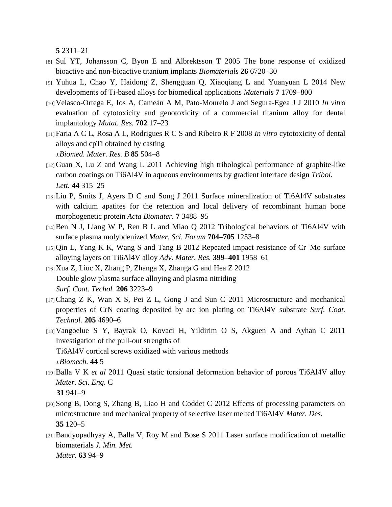**[5](http://dx.doi.org/10.1016/j.actbio.2009.02.026)** [2311–21](http://dx.doi.org/10.1016/j.actbio.2009.02.026)

- [8] Sul YT, Johansson C, Byon E and Albrektsson T 2005 The bone response of oxidized bioactive and non-bioactive titanium implants *Biomaterials* **[26](http://dx.doi.org/10.1016/j.biomaterials.2005.04.058)** [6720–30](http://dx.doi.org/10.1016/j.biomaterials.2005.04.058)
- [9] Yuhua L, Chao Y, Haidong Z, Shengguan Q, Xiaoqiang L and Yuanyuan L 2014 New developments of Ti-based alloys for biomedical applications *Materials* **[7](http://dx.doi.org/10.3390/ma7031709)** [1709–800](http://dx.doi.org/10.3390/ma7031709)
- [10] Velasco-Ortega E, Jos A, Cameán A M, Pato-Mourelo J and Segura-Egea J J 2010 *In vitro* evaluation of cytotoxicity and genotoxicity of a commercial titanium alloy for dental implantology *Mutat. Res[.](http://dx.doi.org/10.1016/j.mrgentox.2010.06.013)* **[702](http://dx.doi.org/10.1016/j.mrgentox.2010.06.013)** [17–23](http://dx.doi.org/10.1016/j.mrgentox.2010.06.013)
- [11] Faria A C L, Rosa A L, Rodrigues R C S and Ribeiro R F 2008 *In vitro* cytotoxicity of dental alloys and cpTi obtained by casting *J.Biomed. Mater. Res. B* **85** 504–8
- [12] Guan X, Lu Z and Wang L 2011 Achieving high tribological performance of graphite-like carbon coatings on Ti6Al4V in aqueous environments by gradient interface design *Tribol. Lett[.](http://dx.doi.org/10.1007/s11249-011-9851-1)* **[44](http://dx.doi.org/10.1007/s11249-011-9851-1)** [315–25](http://dx.doi.org/10.1007/s11249-011-9851-1)
- [13]Liu P, Smits J, Ayers D C and Song J 2011 Surface mineralization of Ti6Al4V substrates with calcium apatites for the retention and local delivery of recombinant human bone morphogenetic protein *Acta Biomater.* **[7](http://dx.doi.org/10.1016/j.actbio.2011.05.025)** [3488–95](http://dx.doi.org/10.1016/j.actbio.2011.05.025)
- [14]Ben N J, Liang W P, Ren B L and Miao Q 2012 Tribological behaviors of Ti6Al4V with surface plasma molybdenized *Mater. Sci. Forum* **704–705** 1253–8
- [15] Qin L, Yang K K, Wang S and Tang B 2012 Repeated impact resistance of Cr–Mo surface alloying layers on Ti6Al4V alloy *Adv. Mater. Res.* **399–401** 1958–61
- [16] Xua Z, Liuc X, Zhang P, Zhanga X, Zhanga G and Hea Z 2012 Double glow plasma surface alloying and plasma nitriding *Surf. Coat. Techol[.](http://dx.doi.org/10.1016/j.surfcoat.2012.01.010)* **[206](http://dx.doi.org/10.1016/j.surfcoat.2012.01.010)** [3223–9](http://dx.doi.org/10.1016/j.surfcoat.2012.01.010)
- $[17]$ Chang Z K, Wan X S, Pei Z L, Gong J and Sun C 2011 Microstructure and mechanical properties of CrN coating deposited by arc ion plating on Ti6Al4V substrate *Surf. Coat. Technol.* **[205](http://dx.doi.org/10.1016/j.surfcoat.2011.04.037)** [4690–6](http://dx.doi.org/10.1016/j.surfcoat.2011.04.037)
- [18] Vangoelue S Y, Bayrak O, Kovaci H, Yildirim O S, Akguen A and Ayhan C 2011 Investigation of the pull-out strengths of Ti6Al4V cortical screws oxidized with various methods *J.Biomech.* **44** 5
- [19]Balla V K *et al* 2011 Quasi static torsional deformation behavior of porous Ti6Al4V alloy *Mater. Sci. Eng.* C **31** 941–9
- [20] Song B, Dong S, Zhang B, Liao H and Coddet C 2012 Effects of processing parameters on microstructure and mechanical property of selective laser melted Ti6Al4V *Mater. Des[.](http://dx.doi.org/10.1016/j.matdes.2011.09.051)* **[35](http://dx.doi.org/10.1016/j.matdes.2011.09.051)** [120–5](http://dx.doi.org/10.1016/j.matdes.2011.09.051)
- [21]Bandyopadhyay A, Balla V, Roy M and Bose S 2011 Laser surface modification of metallic biomaterials *J. Min. Met. Mater.* **[63](http://dx.doi.org/10.1007/s11837-011-0099-x)** [94–9](http://dx.doi.org/10.1007/s11837-011-0099-x)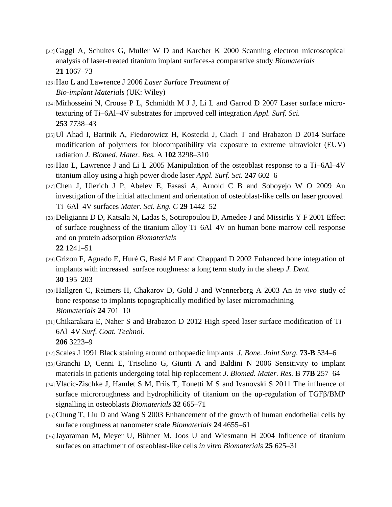- [22] Gaggl A, Schultes G, Muller W D and Karcher K 2000 Scanning electron microscopical analysis of laser-treated titanium implant surfaces-a comparative study *Biomaterial[s](http://dx.doi.org/10.1016/S0142-9612(00)00002-8)* **[21](http://dx.doi.org/10.1016/S0142-9612(00)00002-8)** [1067–73](http://dx.doi.org/10.1016/S0142-9612(00)00002-8)
- [23] Hao L and Lawrence J 2006 *Laser Surface Treatment of Bio-implant Materials* (UK: Wiley)
- [24]Mirhosseini N, Crouse P L, Schmidth M J J, Li L and Garrod D 2007 Laser surface microtexturing of Ti–6Al–4V substrates for improved cell integration *Appl. Surf. Sci[.](http://dx.doi.org/10.1016/j.apsusc.2007.02.168)* **[253](http://dx.doi.org/10.1016/j.apsusc.2007.02.168)** [7738–43](http://dx.doi.org/10.1016/j.apsusc.2007.02.168)
- [25] Ul Ahad I, Bartnik A, Fiedorowicz H, Kostecki J, Ciach T and Brabazon D 2014 Surface modification of polymers for biocompatibility via exposure to extreme ultraviolet (EUV) radiation *J. Biomed. Mater. Res.* A **[102](http://dx.doi.org/10.1002/jbm.a.34958)** [3298–310](http://dx.doi.org/10.1002/jbm.a.34958)
- [26] Hao L, Lawrence J and Li L 2005 Manipulation of the osteoblast response to a Ti–6Al–4V titanium alloy using a high power diode laser *Appl. Surf. Sci.* **[247](http://dx.doi.org/10.1016/j.apsusc.2005.01.165)** [602–6](http://dx.doi.org/10.1016/j.apsusc.2005.01.165)
- [27] Chen J, Ulerich J P, Abelev E, Fasasi A, Arnold C B and Soboyejo W O 2009 An investigation of the initial attachment and orientation of osteoblast-like cells on laser grooved Ti–6Al–4V surfaces *Mater. Sci. Eng. [C](http://dx.doi.org/10.1016/j.msec.2008.11.014)* **[29](http://dx.doi.org/10.1016/j.msec.2008.11.014)** [1442–52](http://dx.doi.org/10.1016/j.msec.2008.11.014)
- [28] Deligianni D D, Katsala N, Ladas S, Sotiropoulou D, Amedee J and Missirlis Y F 2001 Effect of surface roughness of the titanium alloy Ti–6Al–4V on human bone marrow cell response and on protein adsorption *Biomaterial[s](http://dx.doi.org/10.1016/S0142-9612(00)00274-X)* **[22](http://dx.doi.org/10.1016/S0142-9612(00)00274-X)** [1241–51](http://dx.doi.org/10.1016/S0142-9612(00)00274-X)
- [29] Grizon F, Aguado E, Huré G, Baslé M F and Chappard D 2002 Enhanced bone integration of implants with increased surface roughness: a long term study in the sheep *J. Dent[.](http://dx.doi.org/10.1016/S0300-5712(02)00018-0)* **[30](http://dx.doi.org/10.1016/S0300-5712(02)00018-0)** [195–203](http://dx.doi.org/10.1016/S0300-5712(02)00018-0)
- [30] Hallgren C, Reimers H, Chakarov D, Gold J and Wennerberg A 2003 An *in vivo* study of bone response to implants topographically modified by laser micromachining *Biomaterial[s](http://dx.doi.org/10.1016/S0142-9612(02)00266-1)* **[24](http://dx.doi.org/10.1016/S0142-9612(02)00266-1)** [701–10](http://dx.doi.org/10.1016/S0142-9612(02)00266-1)
- [31]Chikarakara E, Naher S and Brabazon D 2012 High speed laser surface modification of Ti– 6Al–4V *Surf. Coat. Technol[.](http://dx.doi.org/10.1016/j.surfcoat.2012.01.010)* **[206](http://dx.doi.org/10.1016/j.surfcoat.2012.01.010)** [3223–9](http://dx.doi.org/10.1016/j.surfcoat.2012.01.010)
- [32] Scales J 1991 Black staining around orthopaedic implants *J. Bone. Joint Surg.* **73-B** 534–6
- [33] Granchi D, Cenni E, Trisolino G, Giunti A and Baldini N 2006 Sensitivity to implant materials in patients undergoing total hip replacement *J. Biomed. Mater. Res.* B **[77B](http://dx.doi.org/10.1002/jbm.b.30445)** [257–64](http://dx.doi.org/10.1002/jbm.b.30445)
- [34] Vlacic-Zischke J, Hamlet S M, Friis T, Tonetti M S and Ivanovski S 2011 The influence of surface microroughness and hydrophilicity of titanium on the up-regulation of TGFβ/BMP signalling in osteoblasts *Biomaterial[s](http://dx.doi.org/10.1016/j.biomaterials.2010.09.025)* **[32](http://dx.doi.org/10.1016/j.biomaterials.2010.09.025)** [665–71](http://dx.doi.org/10.1016/j.biomaterials.2010.09.025)
- [35]Chung T, Liu D and Wang S 2003 Enhancement of the growth of human endothelial cells by surface roughness at nanometer scale *Biomaterial[s](http://dx.doi.org/10.1016/S0142-9612(03)00361-2)* **[24](http://dx.doi.org/10.1016/S0142-9612(03)00361-2)** [4655–61](http://dx.doi.org/10.1016/S0142-9612(03)00361-2)
- [36] Jayaraman M, Meyer U, Bühner M, Joos U and Wiesmann H 2004 Influence of titanium surfaces on attachment of osteoblast-like cells *in vitro Biomaterial[s](http://dx.doi.org/10.1016/S0142-9612(03)00571-4)* **[25](http://dx.doi.org/10.1016/S0142-9612(03)00571-4)** [625–31](http://dx.doi.org/10.1016/S0142-9612(03)00571-4)